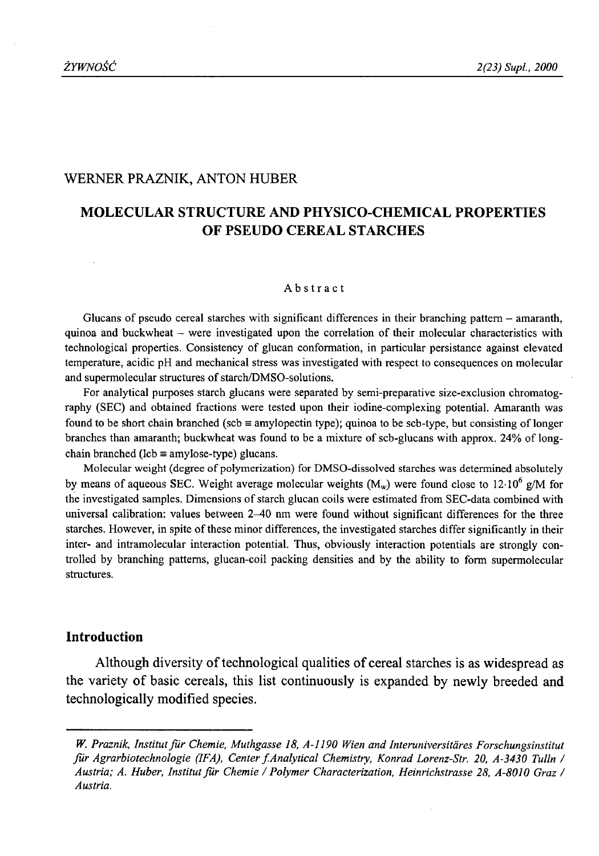### WERNER PRAZNIK, ANTON HUBER

# **MOLECULAR STRUCTURE AND PHYSICO-CHEMICAL PROPERTIES OF PSEUDO CEREAL STARCHES**

#### Abstract

Glucans of pseudo cereal starches with significant differences in their branching pattern  $-$  amaranth, quinoa and buckwheat - were investigated upon the correlation of their molecular characteristics with technological properties. Consistency of glucan conformation, in particular persistance against elevated temperature, acidic pH and mechanical stress was investigated with respect to consequences on molecular and supermolecular structures of starch/DMSO-solutions.

For analytical purposes starch glucans were separated by semi-preparative size-exclusion chromatography (SEC) and obtained fractions were tested upon their iodine-complexing potential. Amaranth was found to be short chain branched (scb  $\equiv$  amylopectin type); quinoa to be scb-type, but consisting of longer branches than amaranth; buckwheat was found to be a mixture of scb-glucans with approx. 24% of longchain branched ( $\text{lcb} \equiv \text{amylose-type}$ ) glucans.

Molecular weight (degree of polymerization) for DMSO-dissolved starches was determined absolutely by means of aqueous SEC. Weight average molecular weights ( $M_w$ ) were found close to 12.10<sup>6</sup> g/M for the investigated samples. Dimensions of starch glucan coils were estimated from SEC-data combined with universal calibration: values between 2-40 nm were found without significant differences for the three starches. However, in spite of these minor differences, the investigated starches differ significantly in their inter- and intramolecular interaction potential. Thus, obviously interaction potentials are strongly controlled by branching patterns, glucan-coil packing densities and by the ability to form supermolecular structures.

# **Introduction**

Although diversity of technological qualities of cereal starches is as widespread as the variety of basic cereals, this list continuously is expanded by newly breeded and technologically modified species.

W. Praznik, Institut für Chemie, Muthgasse 18, A-1190 Wien and Interuniversitäres Forschungsinstitut *fur Agrarbiotechnologie (IFA), Center f Analytical Chemistry, Konrad Lorenz-Str. 20, A-3430 Tulin / Austria; A. Huber, Institut fu r Chemie* / *Polymer Characterization, Heinrichstrasse 28, A-8010 Graz / Austria.*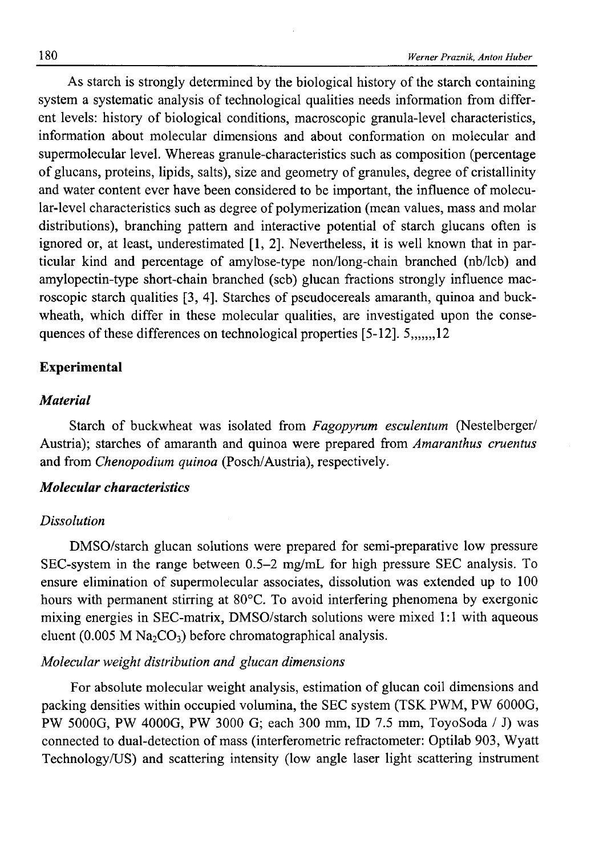As starch is strongly determined by the biological history of the starch containing system a systematic analysis of technological qualities needs information from different levels: history of biological conditions, macroscopic granula-level characteristics, information about molecular dimensions and about conformation on molecular and supermolecular level. Whereas granule-characteristics such as composition (percentage of glucans, proteins, lipids, salts), size and geometry of granules, degree of cristallinity and water content ever have been considered to be important, the influence of molecular-level characteristics such as degree of polymerization (mean values, mass and molar distributions), branching pattern and interactive potential of starch glucans often is ignored or, at least, underestimated [1, 2]. Nevertheless, it is well known that in particular kind and percentage of amylose-type non/long-chain branched (nb/lcb) and amylopectin-type short-chain branched (scb) glucan fractions strongly influence macroscopic starch qualities [3, 4]. Starches of pseudocereals amaranth, quinoa and buckwheath, which differ in these molecular qualities, are investigated upon the consequences of these differences on technological properties  $[5-12]$ .  $5$ ,  $12$ 

### **Experimental**

### *Material*

Starch of buckwheat was isolated from *Fagopyrum esculentum* (Nestelberger/ Austria); starches of amaranth and quinoa were prepared from *Amaranthus cruentus* and from *Chenopodium quinoa* (Posch/Austria), respectively.

# *Molecular characteristics*

### *Dissolution*

DMSO/starch glucan solutions were prepared for semi-preparative low pressure SEC-system in the range between 0.5-2 mg/mL for high pressure SEC analysis. To ensure elimination of supermolecular associates, dissolution was extended up to 100 hours with permanent stirring at 80°C. To avoid interfering phenomena by exergonic mixing energies in SEC-matrix, DMSO/starch solutions were mixed 1:1 with aqueous eluent (0.005 M  $\text{Na}_2\text{CO}_3$ ) before chromatographical analysis.

### *Molecular weight distribution and glucan dimensions*

For absolute molecular weight analysis, estimation of glucan coil dimensions and packing densities within occupied volumina, the SEC system (TSK PWM, PW 6000G, PW 5000G, PW 4000G, PW 3000 G; each 300 mm, ID 7.5 mm, ToyoSoda / J) was connected to dual-detection of mass (interferometrie refractometer: Optilab 903, Wyatt Technology/US) and scattering intensity (low angle laser light scattering instrument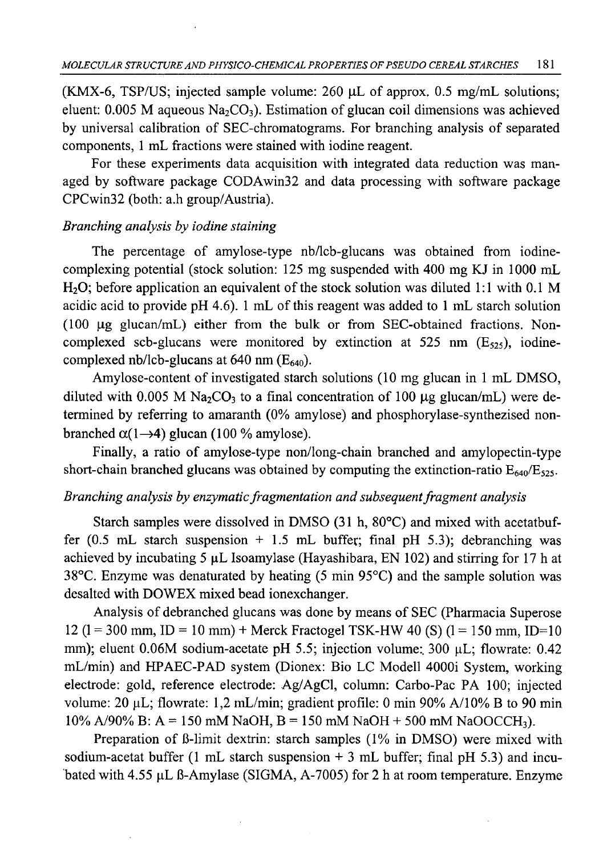(KMX-6, TSP/US; injected sample volume:  $260 \mu L$  of approx. 0.5 mg/mL solutions; eluent:  $0.005$  M aqueous Na<sub>2</sub>CO<sub>3</sub>). Estimation of glucan coil dimensions was achieved by universal calibration of SEC-chromatograms. For branching analysis of separated components, 1 mL fractions were stained with iodine reagent.

For these experiments data acquisition with integrated data reduction was managed by software package CODAwin32 and data processing with software package CPCwin32 (both: a.h group/Austria).

# *Branching analysis by iodine staining*

The percentage of amylose-type nb/lcb-glucans was obtained from iodinecomplexing potential (stock solution: 125 mg suspended with 400 mg KJ in 1000 mL  $H<sub>2</sub>O$ ; before application an equivalent of the stock solution was diluted 1:1 with 0.1 M acidic acid to provide pH 4.6). 1 mL of this reagent was added to 1 mL starch solution  $(100 \mu g \text{glucan/mL})$  either from the bulk or from SEC-obtained fractions. Noncomplexed scb-glucans were monitored by extinction at 525 nm  $(E_{525})$ , iodinecomplexed nb/lcb-glucans at 640 nm  $(E_{640})$ .

Amylose-content of investigated starch solutions (10 mg glucan in 1 mL DMSO, diluted with 0.005 M Na<sub>2</sub>CO<sub>3</sub> to a final concentration of 100  $\mu$ g glucan/mL) were determined by referring to amaranth (0% amylose) and phosphorylase-synthezised nonbranched  $\alpha$  (1–4) glucan (100 % amylose).

Finally, a ratio of amylose-type non/long-chain branched and amylopectin-type short-chain branched glucans was obtained by computing the extinction-ratio  $E_{640}/E_{525}$ .

## *Branching analysis by enzymatic fragmentation and subsequent fragment analysis*

Starch samples were dissolved in DMSO (31 h, 80°C) and mixed with acetatbuffer  $(0.5 \text{ mL}$  starch suspension  $+ 1.5 \text{ mL}$  buffer; final pH 5.3); debranching was achieved by incubating  $5 \mu L$  Isoamylase (Hayashibara, EN 102) and stirring for 17 h at 38°C. Enzyme was denaturated by heating (5 min 95°C) and the sample solution was desalted with DOWEX mixed bead ionexchanger.

Analysis of debranched glucans was done by means of SEC (Pharmacia Superose 12 (1 = 300 mm, ID = 10 mm) + Merck Fractogel TSK-HW 40 (S) (1 = 150 mm, ID=10 mm); eluent 0.06M sodium-acetate pH 5.5; injection volume: 300 µL; flowrate: 0.42 mL/min) and HPAEC-PAD system (Dionex: Bio LC Modeli 4000i System, working electrode: gold, reference electrode: Ag/AgCl, column: Carbo-Pac PA 100; injected volume:  $20 \mu L$ ; flowrate: 1,2 mL/min; gradient profile: 0 min 90% A/10% B to 90 min  $10\%$  A/90% B: A = 150 mM NaOH, B = 150 mM NaOH + 500 mM NaOOCCH<sub>3</sub>).

Preparation of B-limit dextrin: starch samples (1% in DMSO) were mixed with sodium-acetat buffer (1 mL starch suspension  $+3$  mL buffer; final pH 5.3) and incubated with 4.55  $\mu$ L ß-Amylase (SIGMA, A-7005) for 2 h at room temperature. Enzyme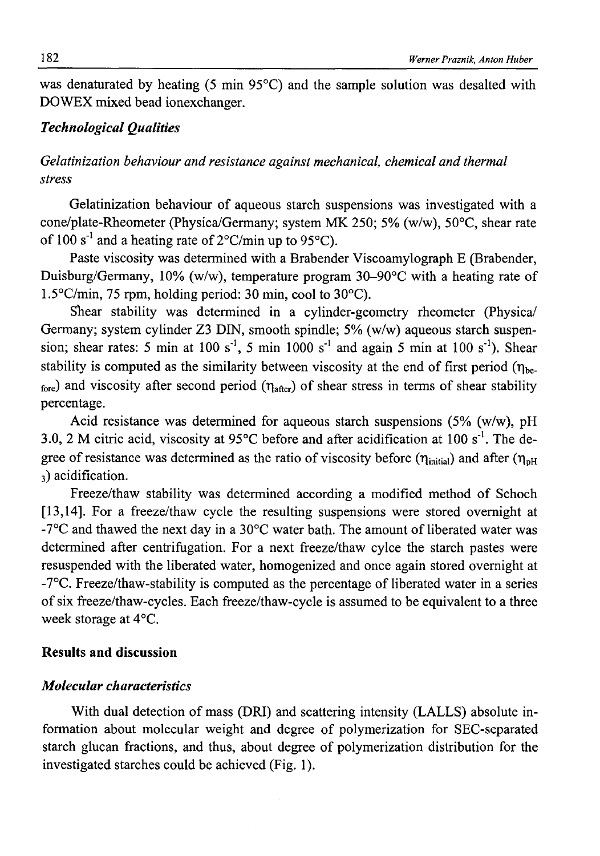was denaturated by heating (5 min 95°C) and the sample solution was desalted with DOWEX mixed bead ionexchanger.

# *Technological Qualities*

# *Gelatinization behaviour and resistance against mechanical, chemical and thermal stress*

Gelatinization behaviour of aqueous starch suspensions was investigated with a cone/plate-Rheometer (Physica/Germany; system MK 250; 5% (w/w), 50°C, shear rate of 100 s<sup>-1</sup> and a heating rate of  $2^{\circ}$ C/min up to 95 $^{\circ}$ C).

Paste viscosity was determined with a Brabender Viscoamylograph E (Brabender, Duisburg/Germany, 10% (w/w), temperature program 30-90°C with a heating rate of 1.5°C/min, 75 rpm, holding period: 30 min, cool to 30°C).

Shear stability was determined in a cylinder-geometry rheometer (Physica/ Germany; system cylinder Z3 DIN, smooth spindle; 5% (w/w) aqueous starch suspension; shear rates: 5 min at 100 s<sup>-1</sup>, 5 min 1000 s<sup>-1</sup> and again 5 min at 100 s<sup>-1</sup>). Shear stability is computed as the similarity between viscosity at the end of first period ( $\eta_{be}$ )  $_{\text{fore}}$ ) and viscosity after second period ( $\eta_{\text{after}}$ ) of shear stress in terms of shear stability percentage.

Acid resistance was determined for aqueous starch suspensions  $(5\%$  (w/w), pH 3.0, 2 M citric acid, viscosity at 95 $\degree$ C before and after acidification at 100 s<sup>-1</sup>. The degree of resistance was determined as the ratio of viscosity before ( $\eta_{initial}$ ) and after ( $\eta_{pH}$ ) 3) acidification.

Freeze/thaw stability was determined according a modified method of Schoch [13,14]. For a freeze/thaw cycle the resulting suspensions were stored overnight at -7°C and thawed the next day in a 30°C water bath. The amount of liberated water was determined after centrifugation. For a next freeze/thaw cylce the starch pastes were resuspended with the liberated water, homogenized and once again stored overnight at -7°C. Freeze/thaw-stability is computed as the percentage of liberated water in a series of six freeze/thaw-cycles. Each freeze/thaw-cycle is assumed to be equivalent to a three week storage at 4°C.

### **Results and discussion**

### *Molecular characteristics*

With dual detection of mass (DRI) and scattering intensity (LALLS) absolute information about molecular weight and degree of polymerization for SEC-separated starch glucan fractions, and thus, about degree of polymerization distribution for the investigated starches could be achieved (Fig. 1).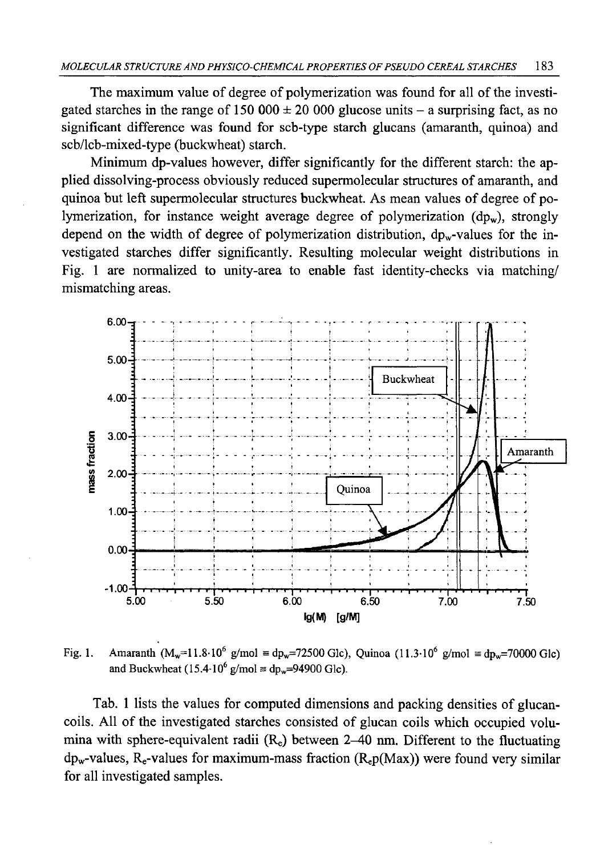The maximum value of degree of polymerization was found for all of the investigated starches in the range of 150 000  $\pm$  20 000 glucose units – a surprising fact, as no significant difference was found for scb-type starch glucans (amaranth, quinoa) and scb/lcb-mixed-type (buckwheat) starch.

Minimum dp-values however, differ significantly for the different starch: the applied dissolving-process obviously reduced supermolecular structures of amaranth, and quinoa but left supermolecular structures buckwheat. As mean values of degree of polymerization, for instance weight average degree of polymerization  $(dp_w)$ , strongly depend on the width of degree of polymerization distribution,  $dp_w$ -values for the investigated starches differ significantly. Resulting molecular weight distributions in Fig. 1 are normalized to unity-area to enable fast identity-checks via matching/ mismatching areas.



Fig. 1. Amaranth  $(M_w=11.8 \cdot 10^6 \text{ g/mol} \equiv dp_w=72500 \text{ Glc})$ , Quinoa (11.3 $\cdot 10^6 \text{ g/mol} \equiv dp_w=70000 \text{ Glc}$ ) and Buckwheat (15.4-10<sup>6</sup> g/mol  $\equiv$  dp<sub>w</sub>=94900 Glc).

Tab. 1 lists the values for computed dimensions and packing densities of glucancoils. All of the investigated starches consisted of glucan coils which occupied volumina with sphere-equivalent radii  $(R_e)$  between 2-40 nm. Different to the fluctuating  $dp_w$ -values, R<sub>e</sub>-values for maximum-mass fraction (R<sub>e</sub>p(Max)) were found very similar for all investigated samples.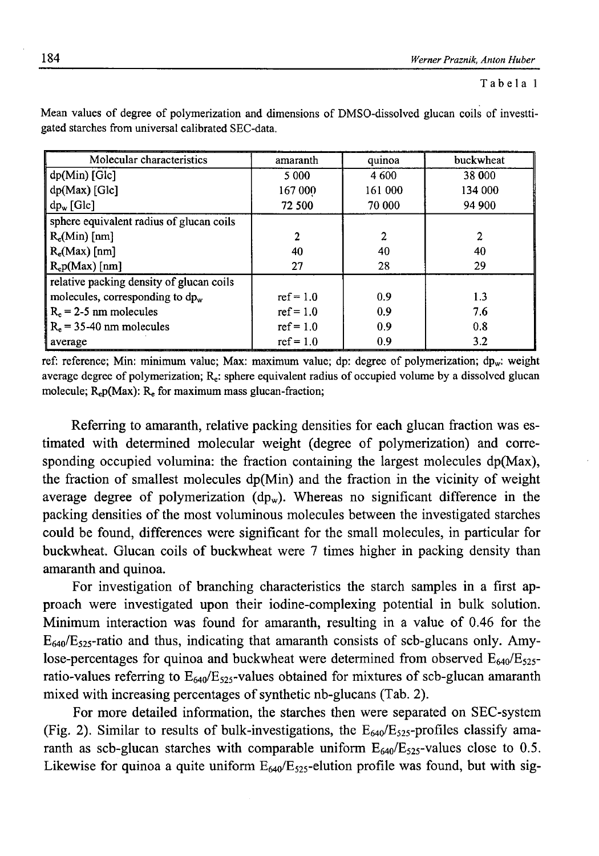Tabela 1

| Molecular characteristics                | amaranth     | quinoa  | buckwheat |
|------------------------------------------|--------------|---------|-----------|
| $dp(Min)$ [Glc]                          | 5 0 0 0      | 4 600   | 38 000    |
| dp(Max) [Glc]                            | 167 000      | 161 000 | 134 000   |
| $dp_w$ [Glc]                             | 72 500       | 70 000  | 94 900    |
| sphere equivalent radius of glucan coils |              |         |           |
| $R_e(Min)$ [nm]                          | $\mathbf{2}$ | 2       | 2         |
| $R_e$ (Max) [nm]                         | 40           | 40      | 40        |
| $R_e p(Max)$ [nm]                        | 27           | 28      | 29        |
| relative packing density of glucan coils |              |         |           |
| molecules, corresponding to $dp_w$       | $ref = 1.0$  | 0.9     | 1.3       |
| $R_e = 2-5$ nm molecules                 | $ref = 1.0$  | 0.9     | 7.6       |
| $R_e$ = 35-40 nm molecules               | $ref = 1.0$  | 0.9     | 0.8       |
| average                                  | $ref = 1.0$  | 0.9     | 3.2       |

Mean values of degree of polymerization and dimensions of DMSO-dissolved glucan coils of investtigated starches from universal calibrated SEC-data.

ref: reference; Min: minimum value; Max: maximum value; dp: degree of polymerization; dp<sub>w</sub>: weight average degree of polymerization;  $R<sub>e</sub>$ : sphere equivalent radius of occupied volume by a dissolved glucan molecule;  $R_e p(Max)$ :  $R_e$  for maximum mass glucan-fraction;

Referring to amaranth, relative packing densities for each glucan fraction was estimated with determined molecular weight (degree of polymerization) and corresponding occupied volumina: the fraction containing the largest molecules  $dp(Max)$ , the fraction of smallest molecules dp(Min) and the fraction in the vicinity of weight average degree of polymerization  $(dp_w)$ . Whereas no significant difference in the packing densities of the most voluminous molecules between the investigated starches could be found, differences were significant for the small molecules, in particular for buckwheat. Glucan coils of buckwheat were 7 times higher in packing density than amaranth and quinoa.

For investigation of branching characteristics the starch samples in a first approach were investigated upon their iodine-complexing potential in bulk solution. Minimum interaction was found for amaranth, resulting in a value of 0.46 for the  $E_{640}/E_{525}$ -ratio and thus, indicating that amaranth consists of scb-glucans only. Amylose-percentages for quinoa and buckwheat were determined from observed  $E_{640}/E_{525}$ ratio-values referring to  $E_{640}/E_{525}$ -values obtained for mixtures of scb-glucan amaranth mixed with increasing percentages of synthetic nb-glucans (Tab. 2).

For more detailed information, the starches then were separated on SEC-system (Fig. 2). Similar to results of bulk-investigations, the  $E_{640}/E_{525}$ -profiles classify amaranth as scb-glucan starches with comparable uniform  $E_{640}/E_{525}$ -values close to 0.5. Likewise for quinoa a quite uniform  $E_{640}/E_{525}$ -elution profile was found, but with sig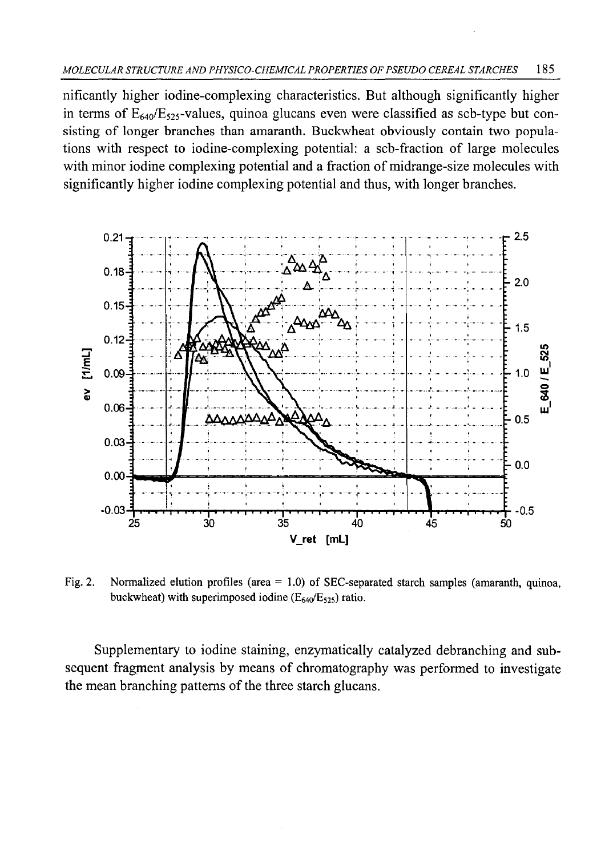nificantly higher iodine-complexing characteristics. But although significantly higher in terms of  $E_{640}/E_{525}$ -values, quinoa glucans even were classified as scb-type but consisting of longer branches than amaranth. Buckwheat obviously contain two populations with respect to iodine-complexing potential: a scb-fraction of large molecules with minor iodine complexing potential and a fraction of midrange-size molecules with significantly higher iodine complexing potential and thus, with longer branches.



Fig. 2. Normalized elution profiles (area  $= 1.0$ ) of SEC-separated starch samples (amaranth, quinoa, buckwheat) with superimposed iodine (E64o/E5**25**) ratio.

Supplementary to iodine staining, enzymatically catalyzed debranching and subsequent fragment analysis by means of chromatography was performed to investigate the mean branching patterns of the three starch glucans.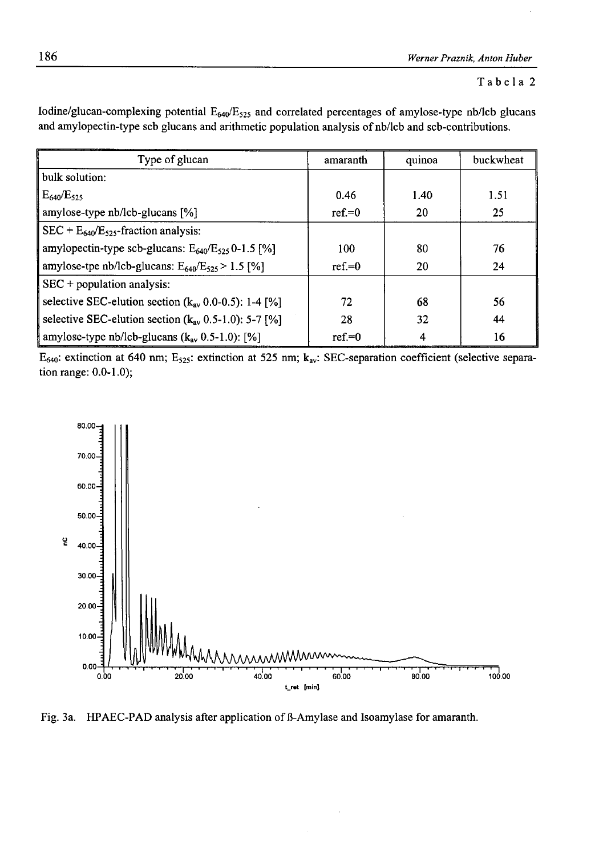### **Tabela 2**

| Type of glucan                                             | amaranth  | quinoa | buckwheat |
|------------------------------------------------------------|-----------|--------|-----------|
| bulk solution:                                             |           |        |           |
| $E_{640}/E_{525}$                                          | 0.46      | 1.40   | 1.51      |
| amylose-type $nb/1cb$ -glucans $[%]$                       | $ref = 0$ | 20     | 25        |
| $SEC + E640/E525$ -fraction analysis:                      |           |        |           |
| amylopectin-type scb-glucans: $E_{640}/E_{525}$ 0-1.5 [%]  | 100       | 80     | 76        |
| amylose-tpe nb/lcb-glucans: $E_{640}/E_{525} > 1.5$ [%]    | $ref = 0$ | 20     | 24        |
| $SEC + population analysis:$                               |           |        |           |
| selective SEC-elution section ( $k_{av}$ 0.0-0.5): 1-4 [%] | 72        | 68     | 56        |
| selective SEC-elution section ( $k_{av}$ 0.5-1.0): 5-7 [%] | 28        | 32     | 44        |
| amylose-type nb/lcb-glucans $(k_{av} 0.5-1.0)$ : [%]       | $ref = 0$ | 4      | 16        |

Iodine/glucan-complexing potential  $E_{640}/E_{525}$  and correlated percentages of amylose-type nb/lcb glucans and amylopectin-type scb glucans and arithmetic population analysis of nb/lcb and scb-contributions.

E<sub>640</sub>: extinction at 640 nm; E<sub>525</sub>: extinction at 525 nm; k<sub>av</sub>: SEC-separation coefficient (selective separation range: **0**.**0**-**1**.**0**);



Fig. 3a. HPAEC-PAD analysis after application of B-Amylase and Isoamylase for amaranth.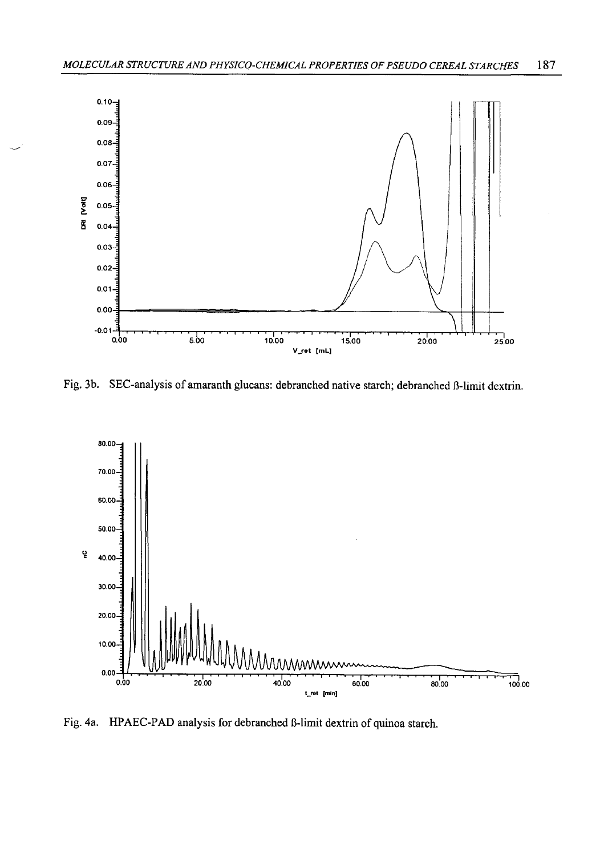

Fig. 3b. SEC-analysis of amaranth glucans: debranched native starch; debranched B-limit dextrin.



Fig. 4a. HPAEC-PAD analysis for debranched ß-limit dextrin of quinoa starch.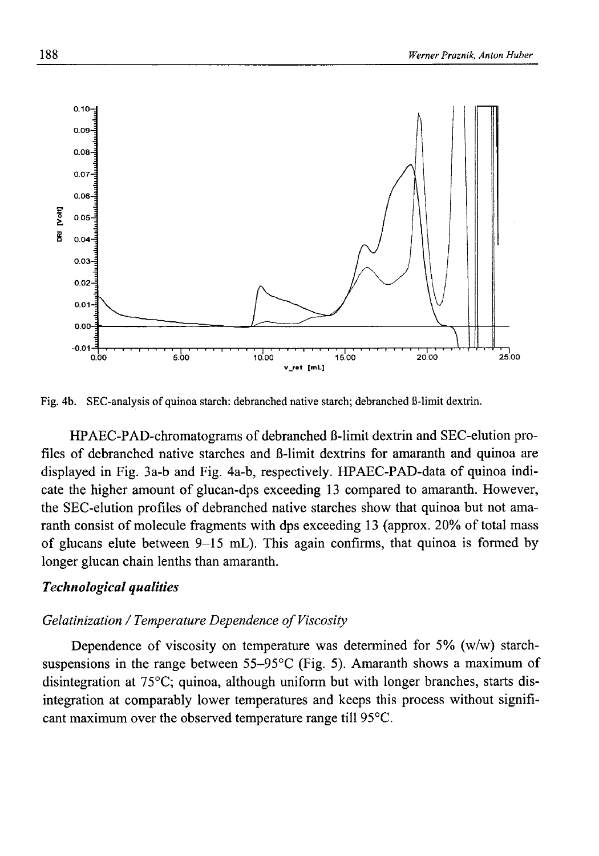

Fig. 4b. SEC-analysis of quinoa starch: debranched native starch; debranched ß-limit dextrin.

HPAEC-PAD-chromatograms of debranched ß-limit dextrin and SEC-elution profiles of debranched native starches and B-limit dextrins for amaranth and quinoa are displayed in Fig. 3a-b and Fig. 4a-b, respectively. HPAEC-PAD-data of quinoa indicate the higher amount of glucan-dps exceeding 13 compared to amaranth. However, the SEC-elution profiles of debranched native starches show that quinoa but not amaranth consist of molecule fragments with dps exceeding 13 (approx. 20% of total mass of glucans elute between  $9-15$  mL). This again confirms, that quinoa is formed by longer glucan chain lenths than amaranth.

### *Technological qualities*

### *Gelatinization* / *Temperature Dependence of Viscosity*

Dependence of viscosity on temperature was determined for 5% (w/w) starchsuspensions in the range between  $55-95^{\circ}$ C (Fig. 5). Amaranth shows a maximum of disintegration at 75°C; quinoa, although uniform but with longer branches, starts disintegration at comparably lower temperatures and keeps this process without significant maximum over the observed temperature range till 95°C.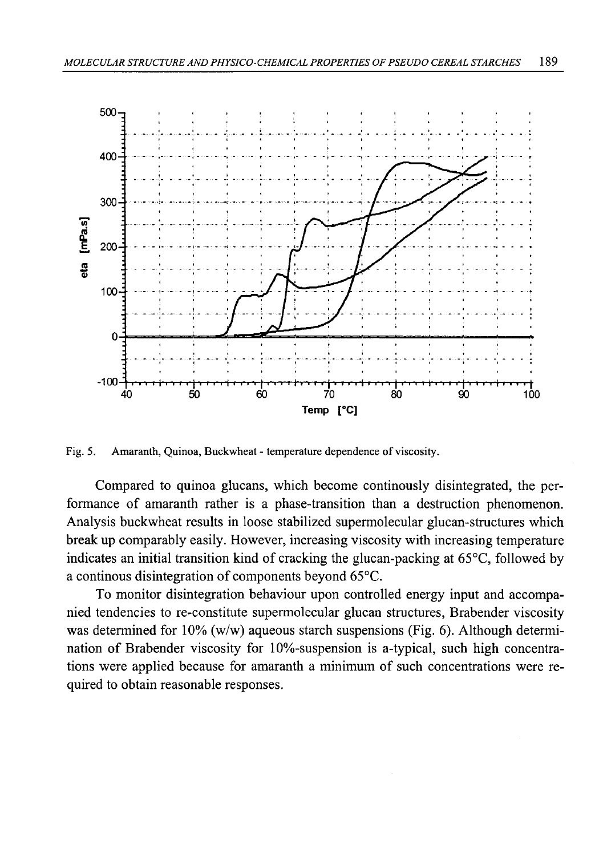

Fig. 5. Amaranth, Quinoa, Buckwheat - temperature dependence of viscosity.

Compared to quinoa glucans, which become continously disintegrated, the performance of amaranth rather is a phase-transition than a destruction phenomenon. Analysis buckwheat results in loose stabilized supermolecular glucan-structures which break up comparably easily. However, increasing viscosity with increasing temperature indicates an initial transition kind of cracking the glucan-packing at 65°C, followed by a continous disintegration of components beyond 65°C.

To monitor disintegration behaviour upon controlled energy input and accompanied tendencies to re-constitute supermolecular glucan structures, Brabender viscosity was determined for 10% (w/w) aqueous starch suspensions (Fig. 6). Although determination of Brabender viscosity for 10%-suspension is a-typical, such high concentrations were applied because for amaranth a minimum of such concentrations were required to obtain reasonable responses.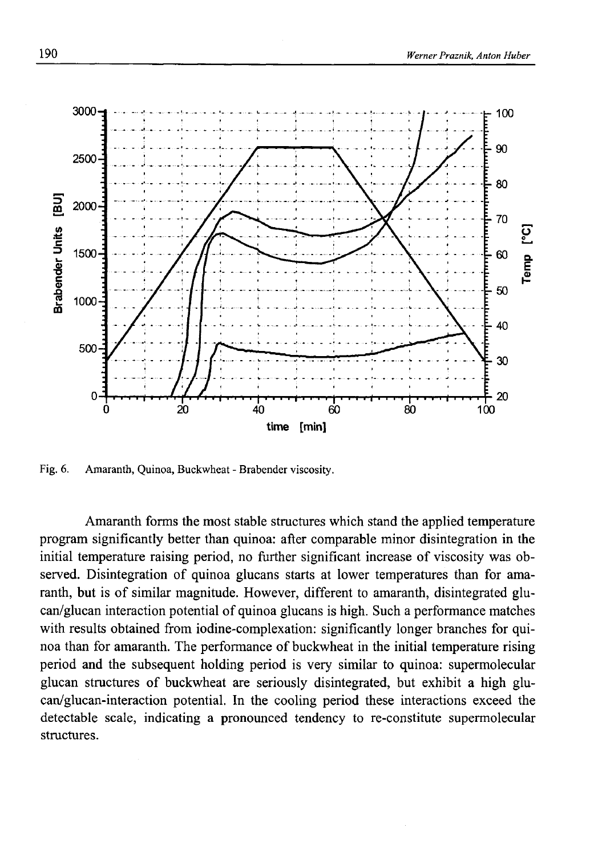

Fig. 6. Amaranth, Quinoa, Buckwheat - Brabender viscosity.

Amaranth forms the most stable structures which stand the applied temperature program significantly better than quinoa: after comparable minor disintegration in the initial temperature raising period, no further significant increase of viscosity was observed. Disintegration of quinoa glucans starts at lower temperatures than for amaranth, but is of similar magnitude. However, different to amaranth, disintegrated glucan/glucan interaction potential of quinoa glucans is high. Such a performance matches with results obtained from iodine-complexation: significantly longer branches for quinoa than for amaranth. The performance of buckwheat in the initial temperature rising period and the subsequent holding period is very similar to quinoa: supermolecular glucan structures of buckwheat are seriously disintegrated, but exhibit a high glucan/glucan-interaction potential. In the cooling period these interactions exceed the detectable scale, indicating a pronounced tendency to re-constitute supermolecular structures.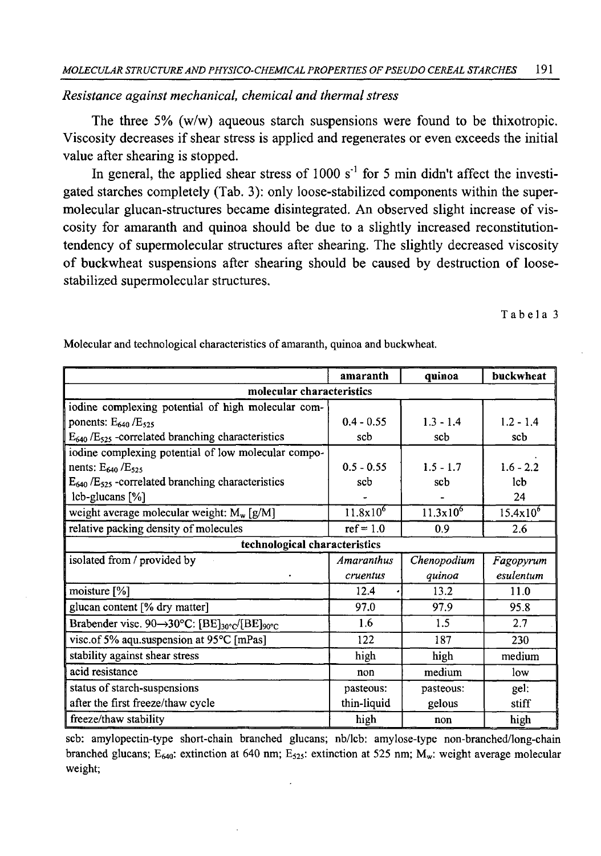# *Resistance against mechanical, chemical and thermal stress*

The three 5% (w/w) aqueous starch suspensions were found to be thixotropic. Viscosity decreases if shear stress is applied and regenerates or even exceeds the initial value after shearing is stopped.

In general, the applied shear stress of 1000  $s<sup>-1</sup>$  for 5 min didn't affect the investigated starches completely (Tab. 3): only loose-stabilized components within the supermolecular glucan-structures became disintegrated. An observed slight increase of viscosity for amaranth and quinoa should be due to a slightly increased reconstitutiontendency of supermolecular structures after shearing. The slightly decreased viscosity of buckwheat suspensions after shearing should be caused by destruction of loosestabilized supermolecular structures.

Tabela 3

|                                                                                   | amaranth          | quinoa        | buckwheat     |  |  |  |
|-----------------------------------------------------------------------------------|-------------------|---------------|---------------|--|--|--|
| molecular characteristics                                                         |                   |               |               |  |  |  |
| iodine complexing potential of high molecular com-                                |                   |               |               |  |  |  |
| ponents: $E_{640}$ / $E_{525}$                                                    | $0.4 - 0.55$      | $1.3 - 1.4$   | $1.2 - 1.4$   |  |  |  |
| $E_{640}$ /E <sub>525</sub> -correlated branching characteristics                 | scb               | sch           | sch           |  |  |  |
| iodine complexing potential of low molecular compo-                               |                   |               |               |  |  |  |
| nents: $E_{640}$ / $E_{525}$                                                      | $0.5 - 0.55$      | $1.5 - 1.7$   | $1.6 - 2.2$   |  |  |  |
| $E_{640}$ /E <sub>525</sub> -correlated branching characteristics                 | scb               | sch           | lcb           |  |  |  |
| $\text{lcb-glucans}$ [%]                                                          |                   |               | 24            |  |  |  |
| weight average molecular weight: $M_w$ [g/M]                                      | $11.8x10^{6}$     | $11.3x10^{6}$ | $15.4x10^{6}$ |  |  |  |
| relative packing density of molecules                                             | $ref = 1.0$       | 0.9           | 2.6           |  |  |  |
| technological characteristics                                                     |                   |               |               |  |  |  |
| isolated from / provided by                                                       | <b>Amaranthus</b> | Chenopodium   | Fagopyrum     |  |  |  |
|                                                                                   | cruentus          | quinoa        | esulentum     |  |  |  |
| moisture [%]                                                                      | 12.4              | 13.2          | 11.0          |  |  |  |
| glucan content [% dry matter]                                                     | 97.0              | 97.9          | 95.8          |  |  |  |
| Brabender vise. 90 $\rightarrow$ 30°C: [BE] <sub>30°C</sub> /[BE] <sub>90°C</sub> | 1.6               | 1.5           | 2.7           |  |  |  |
| visc.of 5% aqu.suspension at 95°C [mPas]                                          | 122               | 187           | 230           |  |  |  |
| stability against shear stress                                                    | high              | high          | medium        |  |  |  |
| acid resistance                                                                   | non               | medium        | low           |  |  |  |
| status of starch-suspensions                                                      | pasteous:         | pasteous:     | gel:          |  |  |  |
| after the first freeze/thaw cycle                                                 | thin-liquid       | gelous        | stiff         |  |  |  |
| freeze/thaw stability                                                             | high              | non           | high          |  |  |  |

Molecular and technological characteristics of amaranth, quinoa and buckwheat.

scb: amylopectin-type short-chain branched glucans; nb/lcb: amylose-type non-branched/long-chain branched glucans; E<sub>640</sub>: extinction at 640 nm; E<sub>525</sub>: extinction at 525 nm; M<sub>w</sub>: weight average molecular weight;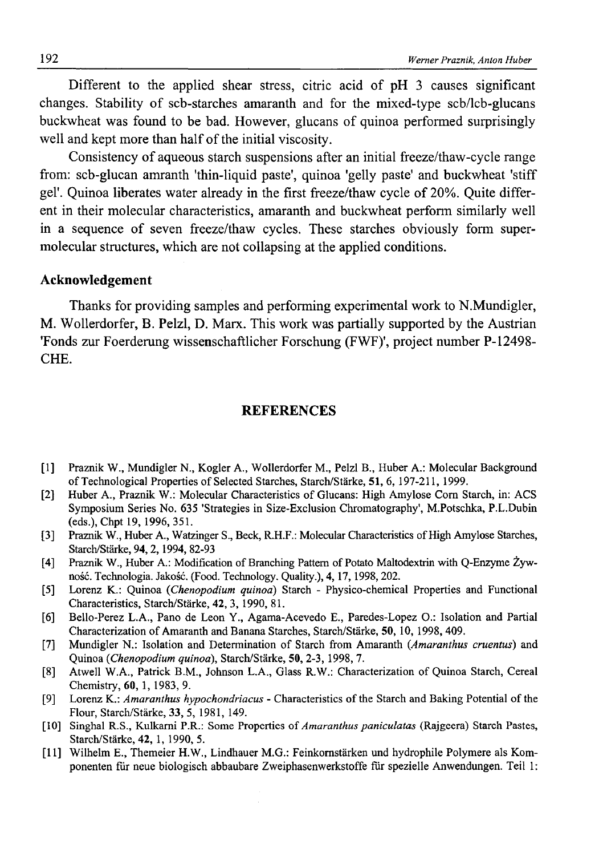Different to the applied shear stress, citric acid of pH 3 causes significant changes. Stability of scb-starches amaranth and for the mixed-type scb/lcb-glucans buckwheat was found to be bad. However, glucans of quinoa performed surprisingly well and kept more than half of the initial viscosity.

Consistency of aqueous starch suspensions after an initial freeze/thaw-cycle range from: scb-glucan amranth 'thin-liquid paste', quinoa 'gelly paste' and buckwheat 'stiff gel'. Quinoa liberates water already in the first freeze/thaw cycle of 20%. Quite different in their molecular characteristics, amaranth and buckwheat perform similarly well in a sequence of seven freeze/thaw cycles. These starches obviously form supermolecular structures, which are not collapsing at the applied conditions.

### **Acknowledgement**

Thanks for providing samples and performing experimental work to N.Mundigler, M. Wollerdorfer, B. Pelzl, D. Marx. This work was partially supported by the Austrian 'Fonds zur Foerderung wissenschaftlicher Forschung (FWF)', project number P-12498- CHE.

### **REFERENCES**

- [1] Praznik W., Mundigler N., Kogler A., Wollerdorfer M., Pelzl B., Huber A.: Molecular Background of Technological Properties of Selected Starches, Starch/Starke, 51, 6, 197-211, 1999.
- [2] Huber A., Praznik W.: Molecular Characteristics of Glucans: High Amylose Com Starch, in: ACS Symposium Series No. 635 'Strategies in Size-Exclusion Chromatography', M.Potschka, P.L.Dubin (eds.), Chpt 19, 1996,351.
- [3] Praznik W., Huber A., Watzinger S., Beck, R.H.F.: Molecular Characteristics of High Amylose Starches, Starch/Starke, 94,2,1994, 82-93
- [4] Praznik W., Huber A.: Modification of Branching Pattern of Potato Maltodextrin with Q-Enzyme Żywność. Technologia. Jakość. (Food. Technology. Quality.), 4,17,1998,202.
- [5] Lorenz K.: Quinoa (*Chenopodium quinoa*) Starch Physico-chemical Properties and Functional Characteristics, Starch/Starke, 42, 3, 1990, 81.
- [6] Bello-Perez L.A., Pano de Leon Y., Agama-Acevedo E., Paredes-Lopez O.: Isolation and Partial Characterization of Amaranth and Banana Starches, Starch/Starke, 50, 10, 1998, 409.
- [7] Mundigler N.: Isolation and Determination of Starch from Amaranth (.*Amaranthus cruentus)* and Quinoa *{Chenopodium quinoa),* Starch/Starke, 50, 2-3, 1998, 7.
- [8] Atwell W.A., Patrick B.M., Johnson L.A., Glass R.W.: Characterization of Quinoa Starch, Cereal Chemistry, 60, 1, 1983, 9.
- [9] Lorenz K.: *Amaranthus hypochondriacus* Characteristics of the Starch and Baking Potential of the Flour, Starch/Starke, 33, 5, 1981, 149.
- [10] Singhal R.S., Kulkami P.R.: Some Properties of *Amaranthus paniculatas* (Rajgeera) Starch Pastes, Starch/Starke, 42, 1, 1990, 5.
- [11] Wilhelm E., Themeier H.W., Lindhauer M.G.: Feinkomstarken und hydrophile Polymere als Komponenten fur neue biologisch abbaubare Zweiphasenwerkstoffe fur spezielle Anwendungen. Teil 1: